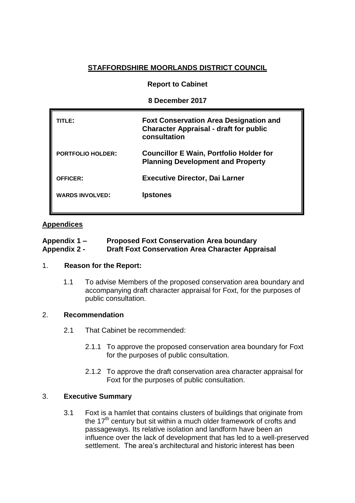# **STAFFORDSHIRE MOORLANDS DISTRICT COUNCIL**

#### **Report to Cabinet**

#### **8 December 2017**

| ITLE:                    | <b>Foxt Conservation Area Designation and</b><br><b>Character Appraisal - draft for public</b><br>consultation |
|--------------------------|----------------------------------------------------------------------------------------------------------------|
| <b>PORTFOLIO HOLDER:</b> | <b>Councillor E Wain, Portfolio Holder for</b><br><b>Planning Development and Property</b>                     |
| <b>OFFICER:</b>          | <b>Executive Director, Dai Larner</b>                                                                          |
| <b>WARDS INVOLVED:</b>   | <b>Ipstones</b>                                                                                                |
|                          |                                                                                                                |

## **Appendices**

| Appendix 1 –        | <b>Proposed Foxt Conservation Area boundary</b>         |
|---------------------|---------------------------------------------------------|
| <b>Appendix 2 -</b> | <b>Draft Foxt Conservation Area Character Appraisal</b> |

## 1. **Reason for the Report:**

1.1 To advise Members of the proposed conservation area boundary and accompanying draft character appraisal for Foxt, for the purposes of public consultation.

## 2. **Recommendation**

- 2.1 That Cabinet be recommended:
	- 2.1.1 To approve the proposed conservation area boundary for Foxt for the purposes of public consultation.
	- 2.1.2 To approve the draft conservation area character appraisal for Foxt for the purposes of public consultation.

## 3. **Executive Summary**

3.1 Foxt is a hamlet that contains clusters of buildings that originate from the  $17<sup>th</sup>$  century but sit within a much older framework of crofts and passageways. Its relative isolation and landform have been an influence over the lack of development that has led to a well-preserved settlement. The area's architectural and historic interest has been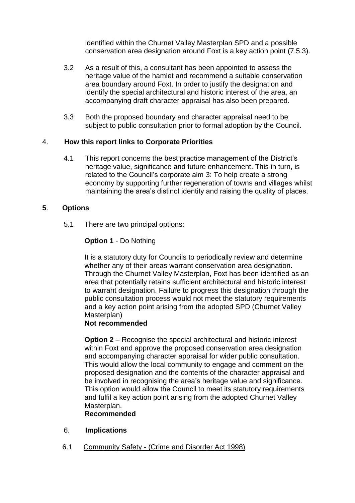identified within the Churnet Valley Masterplan SPD and a possible conservation area designation around Foxt is a key action point (7.5.3).

- 3.2 As a result of this, a consultant has been appointed to assess the heritage value of the hamlet and recommend a suitable conservation area boundary around Foxt. In order to justify the designation and identify the special architectural and historic interest of the area, an accompanying draft character appraisal has also been prepared.
- 3.3 Both the proposed boundary and character appraisal need to be subject to public consultation prior to formal adoption by the Council.

# 4. **How this report links to Corporate Priorities**

4.1 This report concerns the best practice management of the District's heritage value, significance and future enhancement. This in turn, is related to the Council's corporate aim 3: To help create a strong economy by supporting further regeneration of towns and villages whilst maintaining the area's distinct identity and raising the quality of places.

# **5**. **Options**

5.1 There are two principal options:

# **Option 1** - Do Nothing

It is a statutory duty for Councils to periodically review and determine whether any of their areas warrant conservation area designation. Through the Churnet Valley Masterplan, Foxt has been identified as an area that potentially retains sufficient architectural and historic interest to warrant designation. Failure to progress this designation through the public consultation process would not meet the statutory requirements and a key action point arising from the adopted SPD (Churnet Valley Masterplan)

## **Not recommended**

**Option 2** – Recognise the special architectural and historic interest within Foxt and approve the proposed conservation area designation and accompanying character appraisal for wider public consultation. This would allow the local community to engage and comment on the proposed designation and the contents of the character appraisal and be involved in recognising the area's heritage value and significance. This option would allow the Council to meet its statutory requirements and fulfil a key action point arising from the adopted Churnet Valley Masterplan.

## **Recommended**

- 6. **Implications**
- 6.1 Community Safety (Crime and Disorder Act 1998)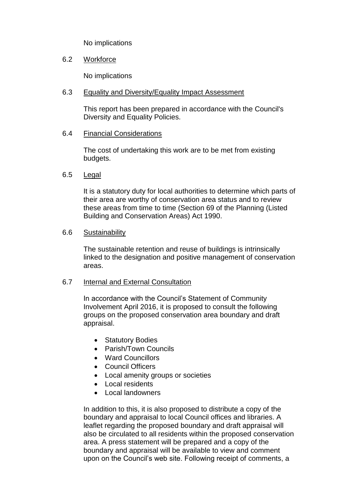No implications

## 6.2 Workforce

No implications

## 6.3 Equality and Diversity/Equality Impact Assessment

This report has been prepared in accordance with the Council's Diversity and Equality Policies.

# 6.4 Financial Considerations

The cost of undertaking this work are to be met from existing budgets.

# 6.5 Legal

It is a statutory duty for local authorities to determine which parts of their area are worthy of conservation area status and to review these areas from time to time (Section 69 of the Planning (Listed Building and Conservation Areas) Act 1990.

## 6.6 Sustainability

The sustainable retention and reuse of buildings is intrinsically linked to the designation and positive management of conservation areas.

## 6.7 Internal and External Consultation

In accordance with the Council's Statement of Community Involvement April 2016, it is proposed to consult the following groups on the proposed conservation area boundary and draft appraisal.

- Statutory Bodies
- Parish/Town Councils
- Ward Councillors
- Council Officers
- Local amenity groups or societies
- Local residents
- Local landowners

In addition to this, it is also proposed to distribute a copy of the boundary and appraisal to local Council offices and libraries. A leaflet regarding the proposed boundary and draft appraisal will also be circulated to all residents within the proposed conservation area. A press statement will be prepared and a copy of the boundary and appraisal will be available to view and comment upon on the Council's web site. Following receipt of comments, a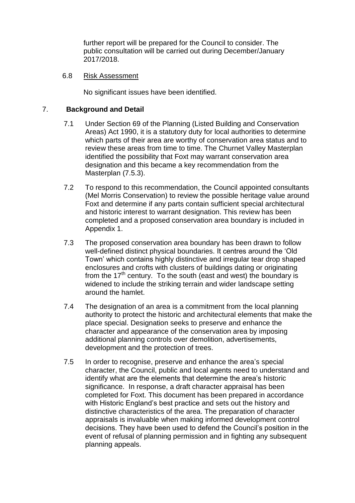further report will be prepared for the Council to consider. The public consultation will be carried out during December/January 2017/2018.

## 6.8 Risk Assessment

No significant issues have been identified.

# 7. **Background and Detail**

- 7.1 Under Section 69 of the Planning (Listed Building and Conservation Areas) Act 1990, it is a statutory duty for local authorities to determine which parts of their area are worthy of conservation area status and to review these areas from time to time. The Churnet Valley Masterplan identified the possibility that Foxt may warrant conservation area designation and this became a key recommendation from the Masterplan (7.5.3).
- 7.2 To respond to this recommendation, the Council appointed consultants (Mel Morris Conservation) to review the possible heritage value around Foxt and determine if any parts contain sufficient special architectural and historic interest to warrant designation. This review has been completed and a proposed conservation area boundary is included in Appendix 1.
- 7.3 The proposed conservation area boundary has been drawn to follow well-defined distinct physical boundaries. It centres around the 'Old Town' which contains highly distinctive and irregular tear drop shaped enclosures and crofts with clusters of buildings dating or originating from the 17<sup>th</sup> century. To the south (east and west) the boundary is widened to include the striking terrain and wider landscape setting around the hamlet.
- 7.4 The designation of an area is a commitment from the local planning authority to protect the historic and architectural elements that make the place special. Designation seeks to preserve and enhance the character and appearance of the conservation area by imposing additional planning controls over demolition, advertisements, development and the protection of trees.
- 7.5 In order to recognise, preserve and enhance the area's special character, the Council, public and local agents need to understand and identify what are the elements that determine the area's historic significance. In response, a draft character appraisal has been completed for Foxt. This document has been prepared in accordance with Historic England's best practice and sets out the history and distinctive characteristics of the area. The preparation of character appraisals is invaluable when making informed development control decisions. They have been used to defend the Council's position in the event of refusal of planning permission and in fighting any subsequent planning appeals.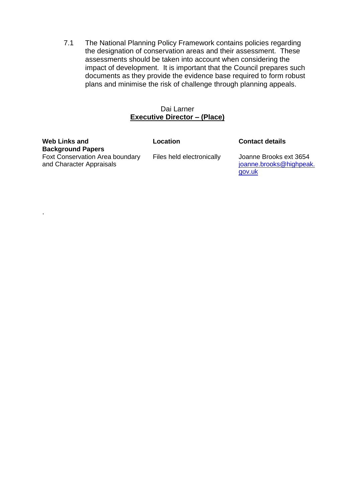7.1 The National Planning Policy Framework contains policies regarding the designation of conservation areas and their assessment. These assessments should be taken into account when considering the impact of development. It is important that the Council prepares such documents as they provide the evidence base required to form robust plans and minimise the risk of challenge through planning appeals.

#### Dai Larner **Executive Director – (Place)**

# **Web Links and Background Papers**

.

Foxt Conservation Area boundary and Character Appraisals

**Location Contact details**

Files held electronically Joanne Brooks ext 3654 [joanne.brooks@highpeak.](mailto:joanne.brooks@highpeak.gov.uk) [gov.uk](mailto:joanne.brooks@highpeak.gov.uk)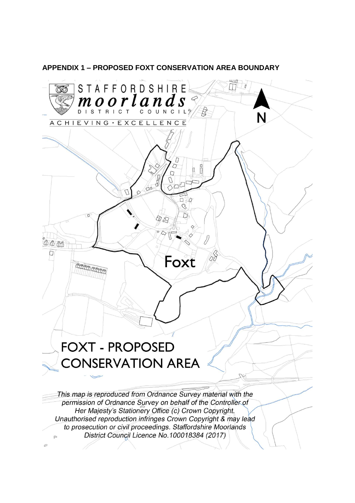

**APPENDIX 1 - PROPOSED FOXT CONSERVATION AREA BOUNDARY**